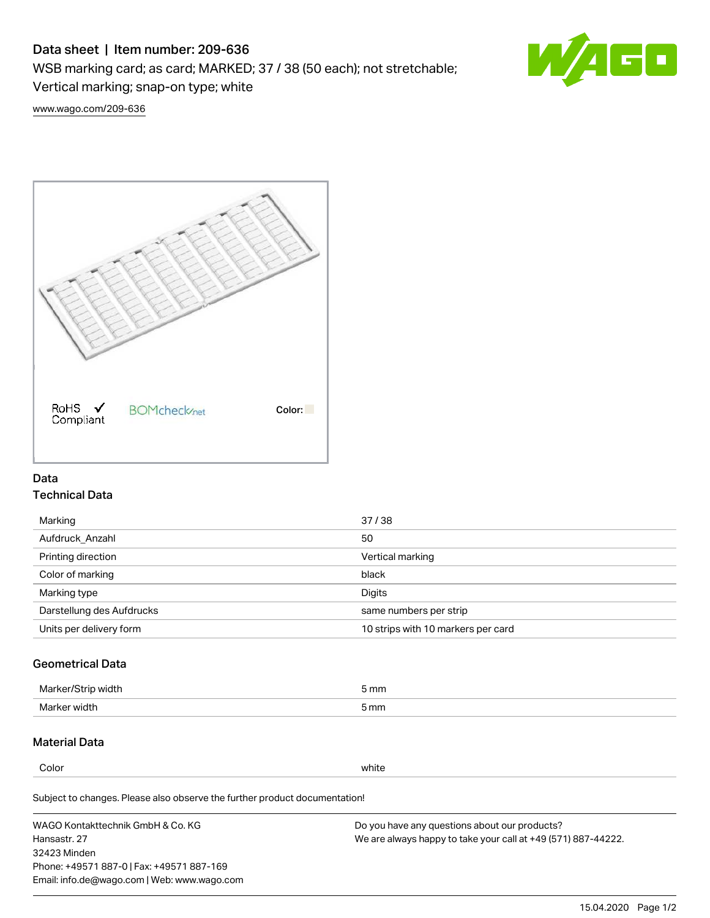# Data sheet | Item number: 209-636

WSB marking card; as card; MARKED; 37 / 38 (50 each); not stretchable;

Vertical marking; snap-on type; white

60

[www.wago.com/209-636](http://www.wago.com/209-636)



### Data Technical Data

| 37/38                              |
|------------------------------------|
| 50                                 |
| Vertical marking                   |
| black                              |
| Digits                             |
| same numbers per strip             |
| 10 strips with 10 markers per card |
|                                    |

## Geometrical Data

| Mar<br>ما المقد<br>,,,,,, | m <sub>m</sub> |
|---------------------------|----------------|
| Mark.<br>wiati            | 5 mm           |

### Material Data

Color white

Subject to changes. Please also observe the further product documentation!

WAGO Kontakttechnik GmbH & Co. KG Hansastr. 27 32423 Minden Phone: +49571 887-0 | Fax: +49571 887-169 Email: info.de@wago.com | Web: www.wago.com Do you have any questions about our products? We are always happy to take your call at +49 (571) 887-44222.